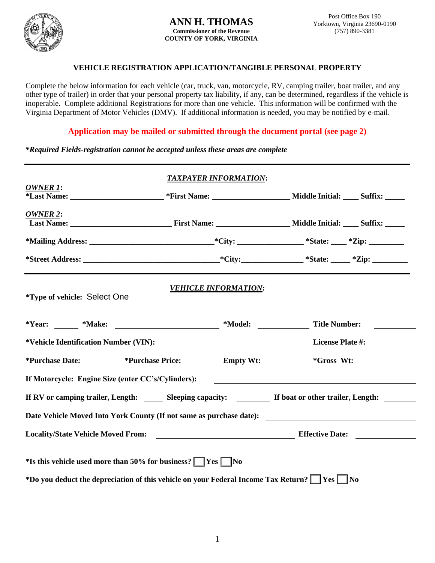

## **VEHICLE REGISTRATION APPLICATION/TANGIBLE PERSONAL PROPERTY**

Complete the below information for each vehicle (car, truck, van, motorcycle, RV, camping trailer, boat trailer, and any other type of trailer) in order that your personal property tax liability, if any, can be determined, regardless if the vehicle is inoperable. Complete additional Registrations for more than one vehicle. This information will be confirmed with the Virginia Department of Motor Vehicles (DMV). If additional information is needed, you may be notified by e-mail.

**Application may be mailed or submitted through the document portal (see page 2)**

*\*Required Fields-registration cannot be accepted unless these areas are complete*

| <b>OWNER 1:</b>                                                                                 | <b>TAXPAYER INFORMATION:</b> |                                                                                           |
|-------------------------------------------------------------------------------------------------|------------------------------|-------------------------------------------------------------------------------------------|
|                                                                                                 |                              |                                                                                           |
| OWNER 2:                                                                                        |                              |                                                                                           |
|                                                                                                 |                              |                                                                                           |
|                                                                                                 |                              |                                                                                           |
| *Type of vehicle: Select One                                                                    | <b>VEHICLE INFORMATION:</b>  |                                                                                           |
| *Year: _______ *Make: ___________________________ *Model: _______________________ Title Number: |                              |                                                                                           |
| *Vehicle Identification Number (VIN):                                                           |                              | <b>Example 2</b> License Plate #:                                                         |
| *Purchase Date: 	 *Purchase Price: 	 Empty Wt: 	 *Gross Wt:                                     |                              | <u> 1999 - Jan Jawa</u>                                                                   |
| If Motorcycle: Engine Size (enter CC's/Cylinders): ______________________________               |                              |                                                                                           |
|                                                                                                 |                              |                                                                                           |
|                                                                                                 |                              |                                                                                           |
|                                                                                                 |                              |                                                                                           |
| *Is this vehicle used more than 50% for business? $\Box$ Yes $\Box$ No                          |                              | *Do you deduct the depreciation of this vehicle on your Federal Income Tax Return? Ves No |